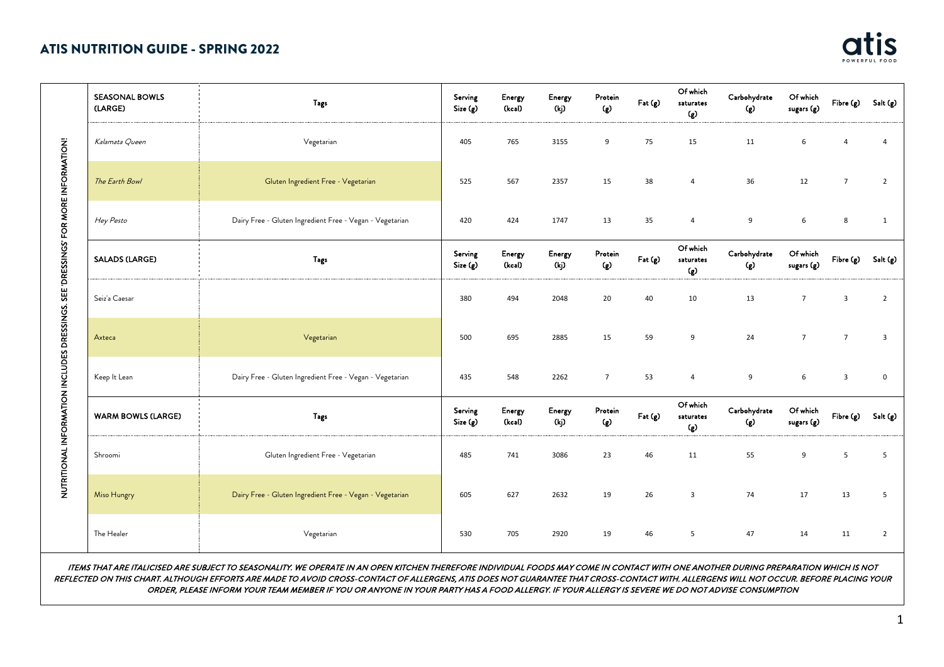

|                                                                                   | <b>SEASONAL BOWLS</b><br>(LARGE) | Tags                                                     | Serving<br>Size (g) | Energy<br>(kcal) | Energy<br>(kj) | Protein<br>$\left( g\right)$ | Fat(g)  | Of which<br>saturates<br>(g) | Carbohydrate<br>(၅) | Of which<br>sugars (g) | Fibre (g)               | Salt (g)       |
|-----------------------------------------------------------------------------------|----------------------------------|----------------------------------------------------------|---------------------|------------------|----------------|------------------------------|---------|------------------------------|---------------------|------------------------|-------------------------|----------------|
|                                                                                   | Kalamata Queen                   | Vegetarian                                               | 405                 | 765              | 3155           | 9                            | 75      | 15                           | 11                  | 6                      |                         |                |
|                                                                                   | The Earth Bowl                   | Gluten Ingredient Free - Vegetarian                      | 525                 | 567              | 2357           | 15                           | 38      | $\overline{4}$               | 36                  | 12                     | $\overline{7}$          | $\overline{2}$ |
|                                                                                   | Hey Pesto                        | Dairy Free - Gluten Ingredient Free - Vegan - Vegetarian | 420                 | 424              | 1747           | 13                           | 35      | 4                            | 9                   | 6                      | 8                       | $\mathbf{1}$   |
| NUTRITIONAL INFORMATION INCLUDES DRESSINGS. SEE 'DRESSINGS' FOR MORE INFORMATION! | <b>SALADS (LARGE)</b>            | <b>Tags</b>                                              | Serving<br>Size (g) | Energy<br>(kcal) | Energy<br>(kj) | Protein<br>(g)               | Fat(g)  | Of which<br>saturates<br>(g) | Carbohydrate<br>(g) | Of which<br>sugars (g) | Fibre (g)               | Salt (g)       |
|                                                                                   | Seiz'a Caesar                    |                                                          | 380                 | 494              | 2048           | 20                           | 40      | 10                           | 13                  | $\overline{7}$         | $\overline{\mathbf{3}}$ | 2              |
|                                                                                   | Axteca                           | Vegetarian                                               | 500                 | 695              | 2885           | 15                           | 59      | 9                            | 24                  | $\overline{7}$         | $7\overline{ }$         | 3              |
|                                                                                   | Keep It Lean                     | Dairy Free - Gluten Ingredient Free - Vegan - Vegetarian | 435                 | 548              | 2262           | $\overline{7}$               | 53      | $\overline{4}$               | 9                   | 6                      | $\overline{\mathbf{3}}$ | $\mathsf{O}$   |
|                                                                                   | <b>WARM BOWLS (LARGE)</b>        | Tags                                                     | Serving<br>Size (g) | Energy<br>(kcal) | Energy<br>(kj) | Protein<br>(g)               | Fat (g) | Of which<br>saturates<br>(g) | Carbohydrate<br>(၉) | Of which<br>sugars (g) | Fibre (g)               | Salt (g)       |
|                                                                                   | Shroomi                          | Gluten Ingredient Free - Vegetarian                      | 485                 | 741              | 3086           | 23                           | 46      | 11                           | 55                  | 9                      | 5                       | 5              |
|                                                                                   | Miso Hungry                      | Dairy Free - Gluten Ingredient Free - Vegan - Vegetarian | 605                 | 627              | 2632           | 19                           | 26      | $\overline{3}$               | 74                  | 17                     | 13                      | 5              |
|                                                                                   | The Healer                       | Vegetarian                                               | 530                 | 705              | 2920           | 19                           | 46      | 5                            | 47                  | 14                     | 11                      | $\overline{2}$ |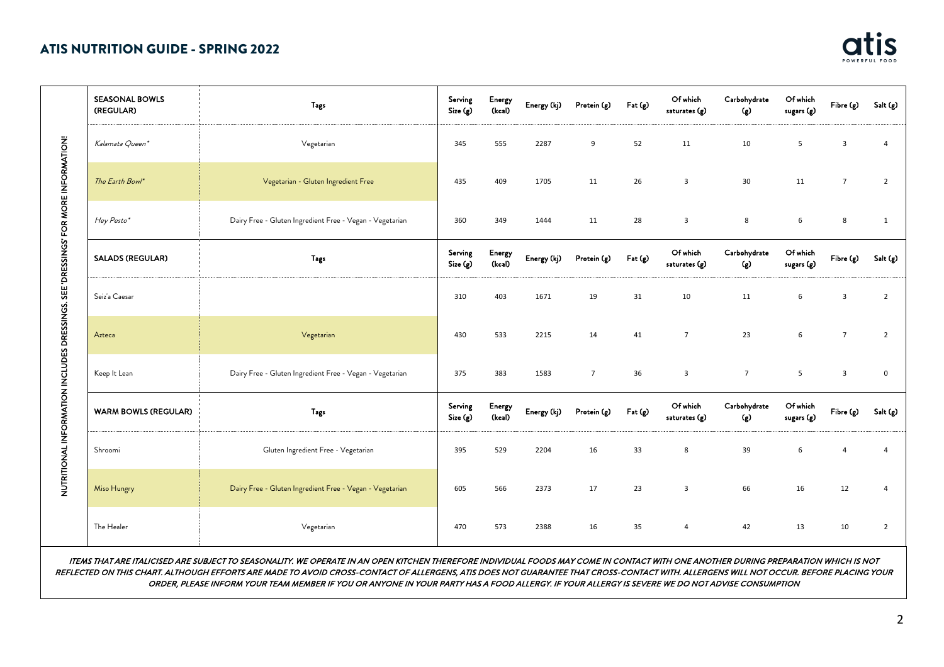

|                                                                                   | <b>SEASONAL BOWLS</b><br>(REGULAR) | <b>Tags</b>                                              | Serving<br>Size (g) | Energy<br>(kcal) | Energy (kj) | Protein (g)     | Fat (g) | Of which<br>saturates (g) | Carbohydrate<br>$\left( g\right)$ | Of which<br>sugars (g) | Fibre (g)      | Salt (g)       |
|-----------------------------------------------------------------------------------|------------------------------------|----------------------------------------------------------|---------------------|------------------|-------------|-----------------|---------|---------------------------|-----------------------------------|------------------------|----------------|----------------|
|                                                                                   | Kalamata Queen*                    | Vegetarian                                               | 345                 | 555              | 2287        | 9               | 52      | 11                        | 10                                | 5                      | 3              | 4              |
|                                                                                   | The Earth Bowl*                    | Vegetarian - Gluten Ingredient Free                      | 435                 | 409              | 1705        | 11              | 26      | 3                         | 30                                | 11                     | $\overline{7}$ | $\overline{2}$ |
|                                                                                   | Hey Pesto*                         | Dairy Free - Gluten Ingredient Free - Vegan - Vegetarian | 360                 | 349              | 1444        | 11              | 28      | 3                         | 8                                 | 6                      | 8              | 1              |
| NUTRITIONAL INFORMATION INCLUDES DRESSINGS. SEE 'DRESSINGS' FOR MORE INFORMATION! | <b>SALADS (REGULAR)</b>            | Tags                                                     | Serving<br>Size (g) | Energy<br>(kcal) | Energy (kj) | Protein (g)     | Fat(g)  | Of which<br>saturates (g) | Carbohydrate<br>(g)               | Of which<br>sugars (g) | Fibre (g)      | Salt (g)       |
|                                                                                   | Seiz'a Caesar                      |                                                          | 310                 | 403              | 1671        | 19              | 31      | 10                        | 11                                | 6                      | 3              | $\overline{2}$ |
|                                                                                   | Azteca                             | Vegetarian                                               | 430                 | 533              | 2215        | 14              | 41      | $\overline{7}$            | 23                                | 6                      | $\overline{7}$ | $\overline{2}$ |
|                                                                                   | Keep It Lean                       | Dairy Free - Gluten Ingredient Free - Vegan - Vegetarian | 375                 | 383              | 1583        | $7\overline{ }$ | 36      | 3                         | $\overline{7}$                    | 5                      | $\mathbf{3}$   | 0              |
|                                                                                   | <b>WARM BOWLS (REGULAR)</b>        | Tags                                                     | Serving<br>Size (g) | Energy<br>(kcal) | Energy (kj) | Protein (g)     | Fat(g)  | Of which<br>saturates (g) | Carbohydrate<br>(g)               | Of which<br>sugars (g) | Fibre (g)      | Salt (g)       |
|                                                                                   | Shroomi                            | Gluten Ingredient Free - Vegetarian                      | 395                 | 529              | 2204        | 16              | 33      | 8                         | 39                                | 6                      |                |                |
|                                                                                   | Miso Hungry                        | Dairy Free - Gluten Ingredient Free - Vegan - Vegetarian | 605                 | 566              | 2373        | 17              | 23      | 3                         | 66                                | 16                     | 12             |                |
|                                                                                   | The Healer                         | Vegetarian                                               | 470                 | 573              | 2388        | 16              | 35      | 4                         | 42                                | 13                     | 10             | $\overline{2}$ |
|                                                                                   |                                    |                                                          |                     |                  |             |                 |         |                           |                                   |                        |                |                |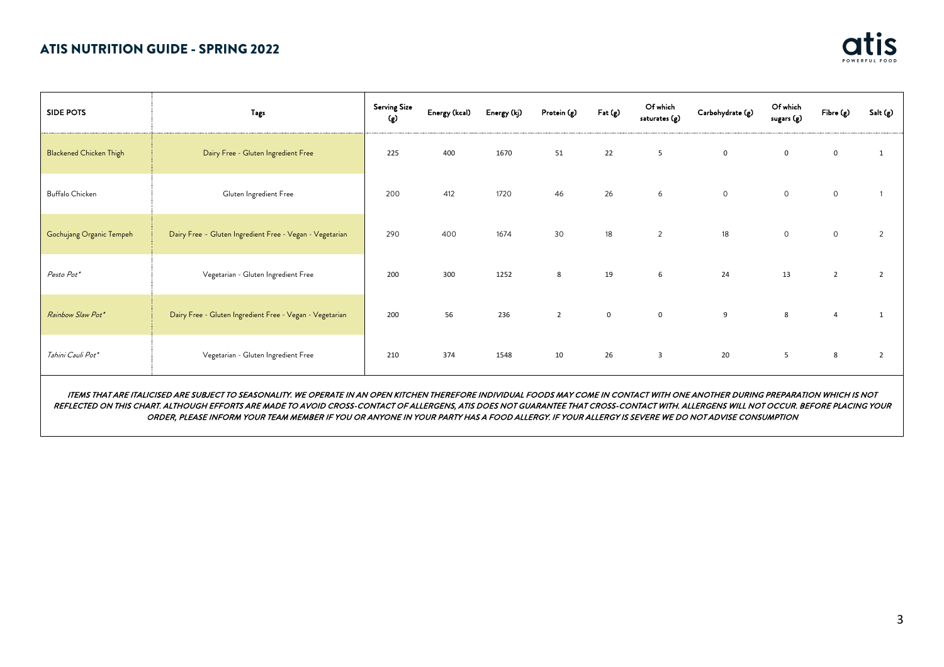

| <b>SIDE POTS</b>               | Tags                                                     | <b>Serving Size</b><br>(၉) | Energy (kcal) Energy (kj) |      | Protein (g)    | $\mathsf{Fat}\left( \mathsf{g}\right)$ | Of which<br>saturates (g) | Carbohydrate (g) | Of which<br>sugars (g) | Fibre (g) | Salt (g)       |
|--------------------------------|----------------------------------------------------------|----------------------------|---------------------------|------|----------------|----------------------------------------|---------------------------|------------------|------------------------|-----------|----------------|
| <b>Blackened Chicken Thigh</b> | Dairy Free - Gluten Ingredient Free                      | 225                        | 400                       | 1670 | 51             | 22                                     | 5                         | $\mathbf 0$      | $\mathbf 0$            |           |                |
| Buffalo Chicken                | Gluten Ingredient Free                                   | 200                        | 412                       | 1720 | 46             | 26                                     | 6                         | $\circ$          | $\circ$                | $\circ$   |                |
| Gochujang Organic Tempeh       | Dairy Free - Gluten Ingredient Free - Vegan - Vegetarian | 290                        | 400                       | 1674 | 30             | 18                                     | 2                         | 18               | $\circ$                | $\circ$   |                |
| Pesto Pot*                     | Vegetarian - Gluten Ingredient Free                      | 200                        | 300                       | 1252 | 8              | 19                                     | 6                         | 24               | 13                     |           |                |
| Rainbow Slaw Pot*              | Dairy Free - Gluten Ingredient Free - Vegan - Vegetarian | 200                        | 56                        | 236  | $\overline{2}$ | $\mathsf{O}$                           | $\mathbf 0$               | 9                | 8                      |           |                |
| Tahini Cauli Pot*              | Vegetarian - Gluten Ingredient Free                      | 210                        | 374                       | 1548 | 10             | 26                                     | $\overline{\mathbf{3}}$   | 20               | 5                      | 8         | $\overline{2}$ |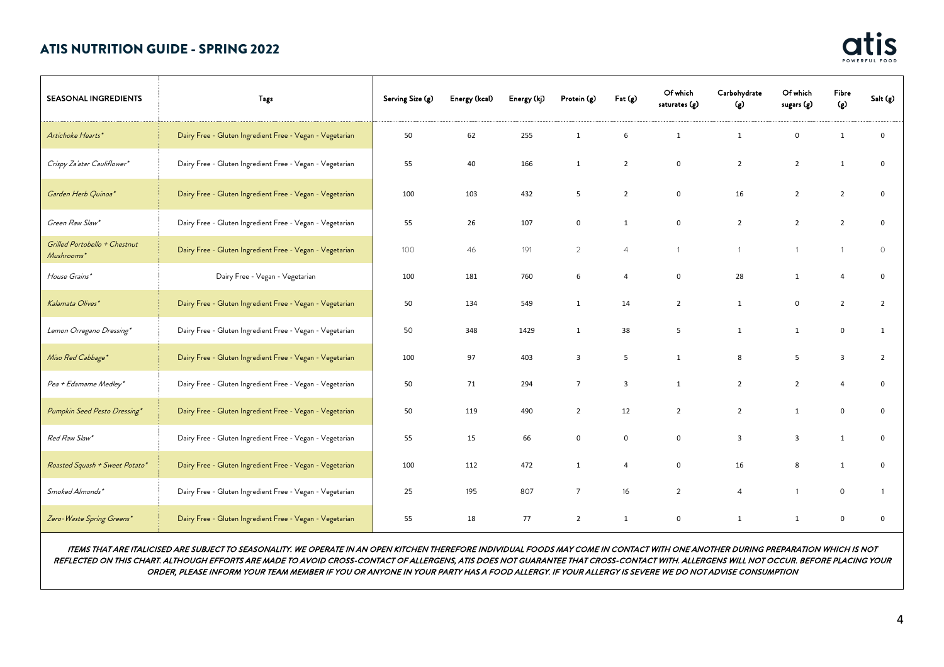

| <b>SEASONAL INGREDIENTS</b>                 | Tags                                                     | Serving Size (g) | Energy (kcal) | Energy (kj) | Protein (g)    | Fat(g)         | Of which<br>saturates (g) | Carbohydrate<br>(၉) | Of which<br>sugars (g) | Fibre<br>(g)   | Salt (g)       |
|---------------------------------------------|----------------------------------------------------------|------------------|---------------|-------------|----------------|----------------|---------------------------|---------------------|------------------------|----------------|----------------|
| Artichoke Hearts*                           | Dairy Free - Gluten Ingredient Free - Vegan - Vegetarian | 50               | 62            | 255         | 1              | 6              | 1                         | 1                   | $\Omega$               | $\mathbf{1}$   | $\mathbf 0$    |
| Crispy Za'atar Cauliflower*                 | Dairy Free - Gluten Ingredient Free - Vegan - Vegetarian | 55               | 40            | 166         | $\mathbf{1}$   | $\overline{2}$ | $\mathsf 0$               | $\overline{2}$      | $\overline{2}$         | $\mathbf{1}$   | 0              |
| Garden Herb Quinoa*                         | Dairy Free - Gluten Ingredient Free - Vegan - Vegetarian | 100              | 103           | 432         | 5              | $\overline{2}$ | $\mathsf{O}$              | 16                  | $\overline{2}$         | $\overline{2}$ | 0              |
| Green Raw Slaw*                             | Dairy Free - Gluten Ingredient Free - Vegan - Vegetarian | 55               | 26            | 107         | $\mathbf 0$    | $\mathbf{1}$   | $\mathsf{O}$              | $\overline{2}$      | $\overline{2}$         | $\overline{2}$ | $\mathbf 0$    |
| Grilled Portobello + Chestnut<br>Mushrooms* | Dairy Free - Gluten Ingredient Free - Vegan - Vegetarian | 100              | 46            | 191         | 2              | $\overline{4}$ | $\overline{1}$            |                     | $\overline{1}$         | $\overline{1}$ | $\circ$        |
| House Grains*                               | Dairy Free - Vegan - Vegetarian                          | 100              | 181           | 760         | 6              | $\overline{a}$ | $\mathsf{O}$              | 28                  | $\mathbf{1}$           | $\overline{4}$ | 0              |
| Kalamata Olives*                            | Dairy Free - Gluten Ingredient Free - Vegan - Vegetarian | 50               | 134           | 549         | 1              | 14             | $\overline{2}$            | 1                   | $\mathbf 0$            | $\overline{2}$ | $\overline{2}$ |
| Lemon Orregano Dressing*                    | Dairy Free - Gluten Ingredient Free - Vegan - Vegetarian | 50               | 348           | 1429        | 1              | 38             | 5                         | 1                   | $\mathbf{1}$           | 0              | $\mathbf{1}$   |
| Miso Red Cabbage*                           | Dairy Free - Gluten Ingredient Free - Vegan - Vegetarian | 100              | 97            | 403         | $\overline{3}$ | 5              | $\mathbf{1}$              | 8                   | 5                      | $\overline{3}$ | $\overline{2}$ |
| Pea + Edamame Medley*                       | Dairy Free - Gluten Ingredient Free - Vegan - Vegetarian | 50               | 71            | 294         | $\overline{7}$ | 3              | $\mathbf{1}$              | $\overline{2}$      | $\overline{2}$         | $\overline{4}$ | 0              |
| Pumpkin Seed Pesto Dressing*                | Dairy Free - Gluten Ingredient Free - Vegan - Vegetarian | 50               | 119           | 490         | $\overline{2}$ | 12             | $\overline{2}$            | $\overline{2}$      | $\mathbf{1}$           | $\mathsf 0$    | 0              |
| Red Raw Slaw*                               | Dairy Free - Gluten Ingredient Free - Vegan - Vegetarian | 55               | 15            | 66          | $\mathbf 0$    | $\mathbf 0$    | $\mathbf 0$               | $\overline{3}$      | $\overline{3}$         | $\mathbf{1}$   | 0              |
| Roasted Squash + Sweet Potato*              | Dairy Free - Gluten Ingredient Free - Vegan - Vegetarian | 100              | 112           | 472         | 1              | $\overline{a}$ | $\mathsf{o}$              | 16                  | 8                      | $\mathbf{1}$   | 0              |
| Smoked Almonds*                             | Dairy Free - Gluten Ingredient Free - Vegan - Vegetarian | 25               | 195           | 807         | $\overline{7}$ | 16             | 2                         | $\overline{4}$      | $\overline{1}$         | $\circ$        |                |
| Zero-Waste Spring Greens*                   | Dairy Free - Gluten Ingredient Free - Vegan - Vegetarian | 55               | 18            | 77          | $\overline{2}$ | $\mathbf{1}$   | $\mathsf 0$               | $\overline{1}$      | $\overline{1}$         | $\mathbf 0$    | $\Omega$       |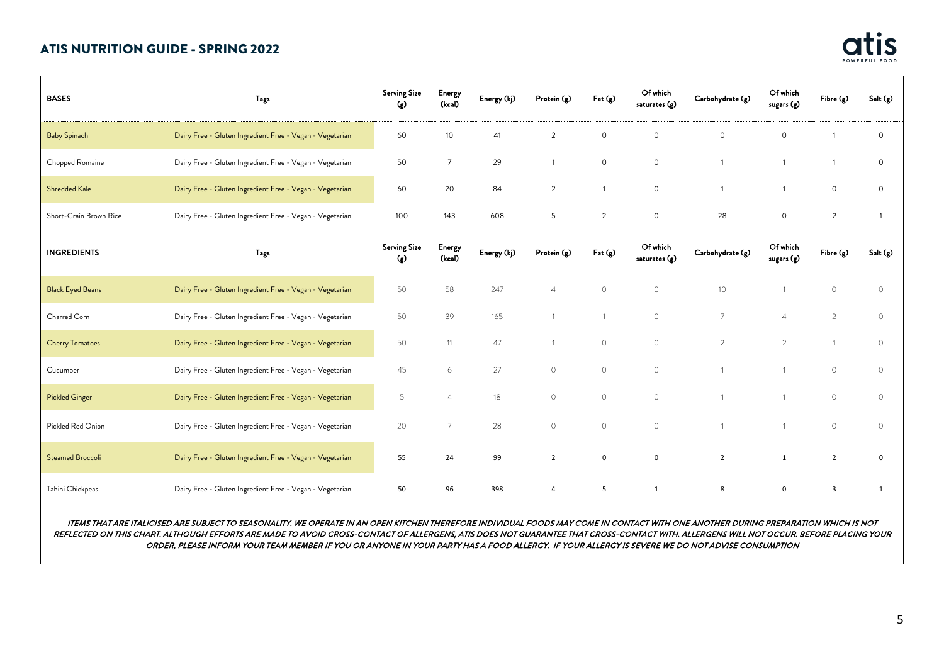

| <b>BASES</b>            | Tags                                                     | <b>Serving Size</b><br>(g) | Energy<br>(kcal) | Energy (kj) | Protein (g)         | Part(g)        | Of which<br>saturates (g) | Carbohydrate (g) | Of which<br>sugars (g) | Fibre (g)      | Salt (g)     |
|-------------------------|----------------------------------------------------------|----------------------------|------------------|-------------|---------------------|----------------|---------------------------|------------------|------------------------|----------------|--------------|
| <b>Baby Spinach</b>     | Dairy Free - Gluten Ingredient Free - Vegan - Vegetarian | 60                         | 10               | 41          | $\overline{2}$      | $\circ$        | $\circ$                   | $\circ$          | $\circ$                |                | 0            |
| Chopped Romaine         | Dairy Free - Gluten Ingredient Free - Vegan - Vegetarian | 50                         | $\overline{7}$   | 29          | $\mathbf{1}$        | $\circ$        | $\circ$                   | $\mathbf{1}$     | $\overline{1}$         |                | 0            |
| <b>Shredded Kale</b>    | Dairy Free - Gluten Ingredient Free - Vegan - Vegetarian | 60                         | 20               | 84          | $\overline{2}$      |                | $\circ$                   |                  |                        | $\circ$        | 0            |
| Short-Grain Brown Rice  | Dairy Free - Gluten Ingredient Free - Vegan - Vegetarian | 100                        | 143              | 608         | 5                   | $\overline{2}$ | $\circ$                   | 28               | $\mathsf{O}\xspace$    | $\overline{2}$ |              |
| <b>INGREDIENTS</b>      | Tags                                                     | <b>Serving Size</b><br>(g) | Energy<br>(kcal) | Energy (kj) | Protein (g)         | Part(g)        | Of which<br>saturates (g) | Carbohydrate (g) | Of which<br>sugars (g) | Fibre (g)      | Salt (g)     |
| <b>Black Eyed Beans</b> | Dairy Free - Gluten Ingredient Free - Vegan - Vegetarian | 50                         | 58               | 247         | $\overline{4}$      | $\circ$        | $\circ$                   | 10               |                        | $\bigcap$      | $\circ$      |
| Charred Corn            | Dairy Free - Gluten Ingredient Free - Vegan - Vegetarian | 50                         | 39               | 165         | 1                   |                | $\circlearrowright$       | $\overline{7}$   | $\overline{4}$         | $\overline{2}$ | $\circ$      |
| <b>Cherry Tomatoes</b>  | Dairy Free - Gluten Ingredient Free - Vegan - Vegetarian | 50                         | 11               | 47          |                     | $\circ$        | $\circ$                   | $\overline{2}$   | 2                      |                | 0            |
| Cucumber                | Dairy Free - Gluten Ingredient Free - Vegan - Vegetarian | 45                         | 6                | 27          | $\circlearrowright$ | $\circ$        | $\circ$                   |                  |                        | $\Omega$       | $\circ$      |
| <b>Pickled Ginger</b>   | Dairy Free - Gluten Ingredient Free - Vegan - Vegetarian | 5                          | $\overline{4}$   | 18          | $\circ$             | $\circ$        | $\circ$                   |                  |                        | $\circ$        | 0            |
| Pickled Red Onion       | Dairy Free - Gluten Ingredient Free - Vegan - Vegetarian | 20                         | $\overline{7}$   | 28          | $\circlearrowright$ | $\circ$        | $\circ$                   |                  |                        | $\Omega$       | 0            |
| Steamed Broccoli        | Dairy Free - Gluten Ingredient Free - Vegan - Vegetarian | 55                         | 24               | 99          | $\overline{2}$      | 0              | $\mathbf 0$               | $\overline{2}$   | 1                      | $\overline{2}$ | 0            |
| Tahini Chickpeas        | Dairy Free - Gluten Ingredient Free - Vegan - Vegetarian | 50                         | 96               | 398         | $\overline{4}$      | 5              | $\mathbf{1}$              | 8                | $\mathbf 0$            | 3              | $\mathbf{1}$ |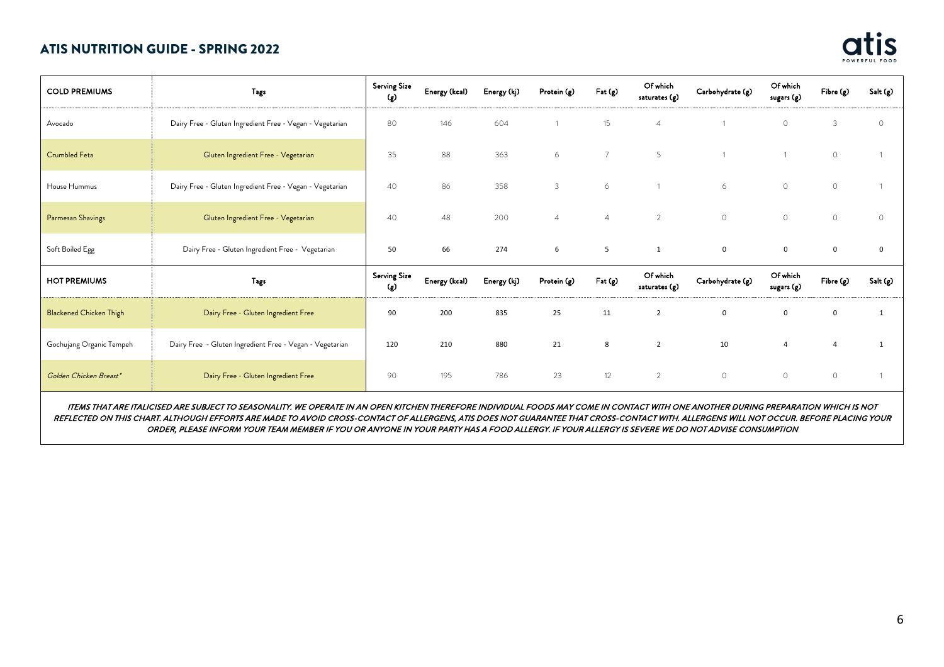

| <b>COLD PREMIUMS</b>           | <b>Tags</b>                                              | <b>Serving Size</b><br>(၉) | Energy (kcal) | Energy (kj) | Protein (g)    | $extbf{F}$ at (g) | Of which<br>saturates (g) | Carbohydrate (g) | Of which<br>sugars (g) | Fibre (g)           | Salt (g) |
|--------------------------------|----------------------------------------------------------|----------------------------|---------------|-------------|----------------|-------------------|---------------------------|------------------|------------------------|---------------------|----------|
| Avocado                        | Dairy Free - Gluten Ingredient Free - Vegan - Vegetarian | 80                         | 146           | 604         |                | 15                | $\overline{4}$            |                  | $\circ$                | 3                   | $\Omega$ |
| Crumbled Feta                  | Gluten Ingredient Free - Vegetarian                      | 35                         | 88            | 363         | 6              | $\overline{7}$    | 5                         | $\overline{1}$   |                        | $\circ$             |          |
| House Hummus                   | Dairy Free - Gluten Ingredient Free - Vegan - Vegetarian | 40                         | 86            | 358         | $\mathbf{3}$   | 6                 | $\mathbf{1}$              | 6                | $\circ$                | $\circ$             |          |
| Parmesan Shavings              | Gluten Ingredient Free - Vegetarian                      | 40                         | 48            | 200         | $\overline{4}$ | $\overline{4}$    | $\overline{2}$            | $\circ$          | $\circ$                | $\circ$             | $\Omega$ |
| Soft Boiled Egg                | Dairy Free - Gluten Ingredient Free - Vegetarian         | 50                         | 66            | 274         | 6              | 5                 | $\mathbf{1}$              | $\mathsf{O}$     | $\mathbf 0$            | 0                   | $\Omega$ |
| <b>HOT PREMIUMS</b>            | <b>Tags</b>                                              | <b>Serving Size</b><br>(၉) | Energy (kcal) | Energy (kj) | Protein (g)    | Fat (g)           | Of which<br>saturates (g) | Carbohydrate (g) | Of which<br>sugars (g) | Fibre (g)           | Salt (g) |
| <b>Blackened Chicken Thigh</b> | Dairy Free - Gluten Ingredient Free                      | 90                         | 200           | 835         | 25             | 11                | $\overline{2}$            | 0                | 0                      | $\mathbf 0$         |          |
| Gochujang Organic Tempeh       | Dairy Free - Gluten Ingredient Free - Vegan - Vegetarian | 120                        | 210           | 880         | 21             | 8                 | $\overline{2}$            | 10               | $\overline{4}$         |                     |          |
| Golden Chicken Breast*         | Dairy Free - Gluten Ingredient Free                      | 90                         | 195           | 786         | 23             | 12                | $\overline{2}$            | $\circ$          | $\circ$                | $\circlearrowright$ |          |